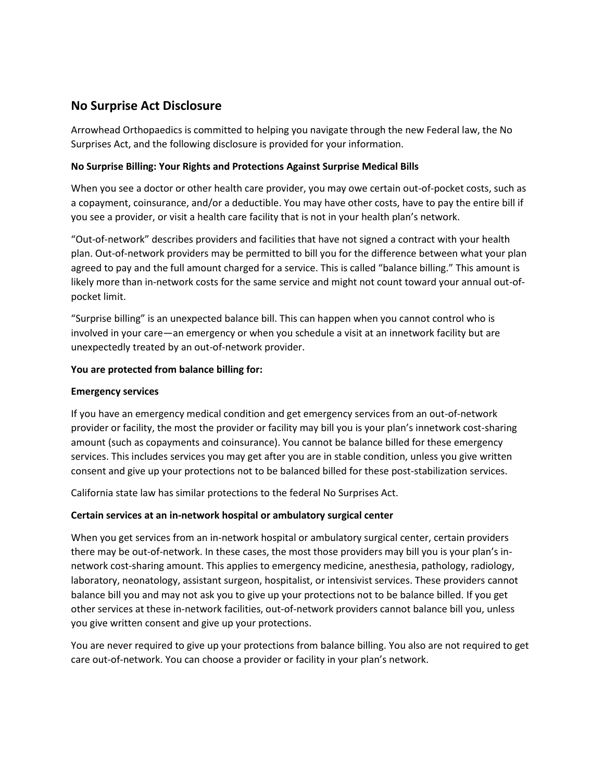# **No Surprise Act Disclosure**

Arrowhead Orthopaedics is committed to helping you navigate through the new Federal law, the No Surprises Act, and the following disclosure is provided for your information.

#### **No Surprise Billing: Your Rights and Protections Against Surprise Medical Bills**

When you see a doctor or other health care provider, you may owe certain out-of-pocket costs, such as a copayment, coinsurance, and/or a deductible. You may have other costs, have to pay the entire bill if you see a provider, or visit a health care facility that is not in your health plan's network.

"Out-of-network" describes providers and facilities that have not signed a contract with your health plan. Out-of-network providers may be permitted to bill you for the difference between what your plan agreed to pay and the full amount charged for a service. This is called "balance billing." This amount is likely more than in-network costs for the same service and might not count toward your annual out-ofpocket limit.

"Surprise billing" is an unexpected balance bill. This can happen when you cannot control who is involved in your care—an emergency or when you schedule a visit at an innetwork facility but are unexpectedly treated by an out-of-network provider.

### **You are protected from balance billing for:**

#### **Emergency services**

If you have an emergency medical condition and get emergency services from an out-of-network provider or facility, the most the provider or facility may bill you is your plan's innetwork cost-sharing amount (such as copayments and coinsurance). You cannot be balance billed for these emergency services. This includes services you may get after you are in stable condition, unless you give written consent and give up your protections not to be balanced billed for these post-stabilization services.

California state law has similar protections to the federal No Surprises Act.

## **Certain services at an in-network hospital or ambulatory surgical center**

When you get services from an in-network hospital or ambulatory surgical center, certain providers there may be out-of-network. In these cases, the most those providers may bill you is your plan's innetwork cost-sharing amount. This applies to emergency medicine, anesthesia, pathology, radiology, laboratory, neonatology, assistant surgeon, hospitalist, or intensivist services. These providers cannot balance bill you and may not ask you to give up your protections not to be balance billed. If you get other services at these in-network facilities, out-of-network providers cannot balance bill you, unless you give written consent and give up your protections.

You are never required to give up your protections from balance billing. You also are not required to get care out-of-network. You can choose a provider or facility in your plan's network.